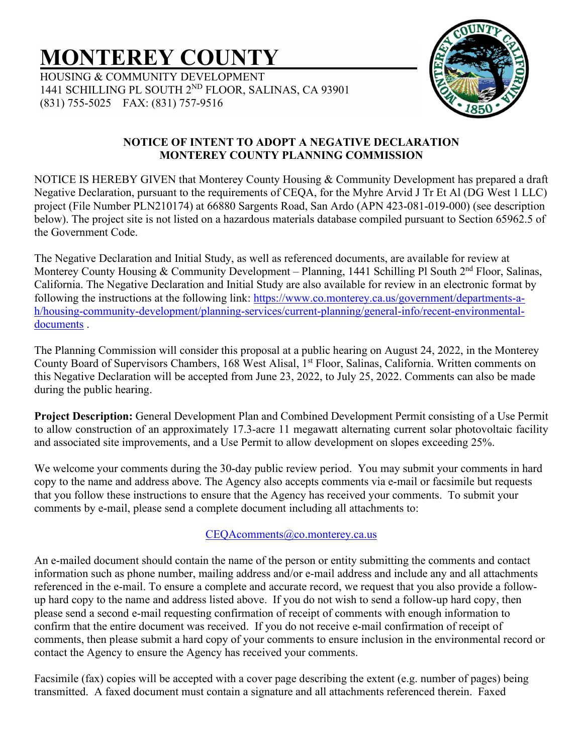# **MONTEREY COUNTY**

HOUSING & COMMUNITY DEVELOPMENT 1441 SCHILLING PL SOUTH 2ND FLOOR, SALINAS, CA 93901 (831) 755-5025 FAX: (831) 757-9516



## **NOTICE OF INTENT TO ADOPT A NEGATIVE DECLARATION MONTEREY COUNTY PLANNING COMMISSION**

NOTICE IS HEREBY GIVEN that Monterey County Housing & Community Development has prepared a draft Negative Declaration, pursuant to the requirements of CEQA, for the Myhre Arvid J Tr Et Al (DG West 1 LLC) project (File Number PLN210174) at 66880 Sargents Road, San Ardo (APN 423-081-019-000) (see description below). The project site is not listed on a hazardous materials database compiled pursuant to Section 65962.5 of the Government Code.

The Negative Declaration and Initial Study, as well as referenced documents, are available for review at Monterey County Housing & Community Development – Planning, 1441 Schilling Pl South 2<sup>nd</sup> Floor, Salinas, California. The Negative Declaration and Initial Study are also available for review in an electronic format by following the instructions at the following link: [https://www.co.monterey.ca.us/government/departments-a](https://www.co.monterey.ca.us/government/departments-a-h/housing-community-development/planning-services/current-planning/general-info/recent-environmental-documents)[h/housing-community-development/planning-services/current-planning/general-info/recent-environmental](https://www.co.monterey.ca.us/government/departments-a-h/housing-community-development/planning-services/current-planning/general-info/recent-environmental-documents)[documents](https://www.co.monterey.ca.us/government/departments-a-h/housing-community-development/planning-services/current-planning/general-info/recent-environmental-documents) .

The Planning Commission will consider this proposal at a public hearing on August 24, 2022, in the Monterey County Board of Supervisors Chambers, 168 West Alisal, 1<sup>st</sup> Floor, Salinas, California. Written comments on this Negative Declaration will be accepted from June 23, 2022, to July 25, 2022. Comments can also be made during the public hearing.

**Project Description:** General Development Plan and Combined Development Permit consisting of a Use Permit to allow construction of an approximately 17.3-acre 11 megawatt alternating current solar photovoltaic facility and associated site improvements, and a Use Permit to allow development on slopes exceeding 25%.

We welcome your comments during the 30-day public review period. You may submit your comments in hard copy to the name and address above. The Agency also accepts comments via e-mail or facsimile but requests that you follow these instructions to ensure that the Agency has received your comments. To submit your comments by e-mail, please send a complete document including all attachments to:

# CEQAcomments@co.monterey.ca.us

An e-mailed document should contain the name of the person or entity submitting the comments and contact information such as phone number, mailing address and/or e-mail address and include any and all attachments referenced in the e-mail. To ensure a complete and accurate record, we request that you also provide a followup hard copy to the name and address listed above. If you do not wish to send a follow-up hard copy, then please send a second e-mail requesting confirmation of receipt of comments with enough information to confirm that the entire document was received. If you do not receive e-mail confirmation of receipt of comments, then please submit a hard copy of your comments to ensure inclusion in the environmental record or contact the Agency to ensure the Agency has received your comments.

Facsimile (fax) copies will be accepted with a cover page describing the extent (e.g. number of pages) being transmitted. A faxed document must contain a signature and all attachments referenced therein. Faxed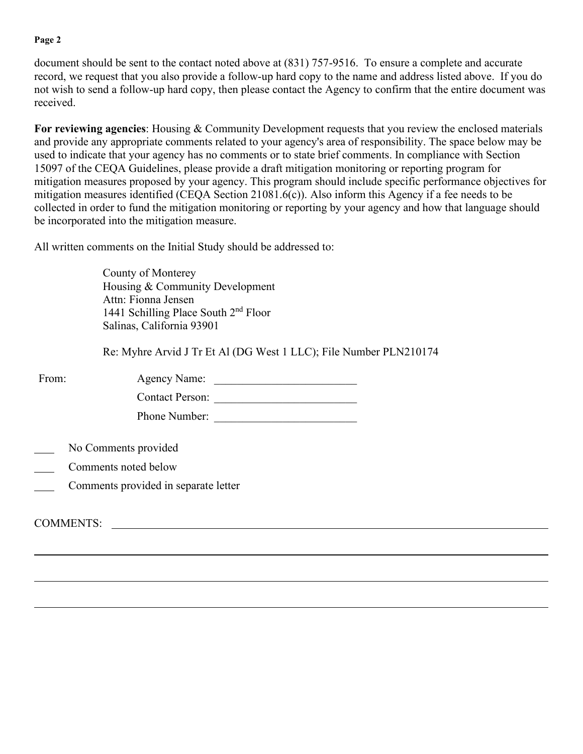#### **Page 2**

document should be sent to the contact noted above at (831) 757-9516. To ensure a complete and accurate record, we request that you also provide a follow-up hard copy to the name and address listed above. If you do not wish to send a follow-up hard copy, then please contact the Agency to confirm that the entire document was received.

**For reviewing agencies**: Housing & Community Development requests that you review the enclosed materials and provide any appropriate comments related to your agency's area of responsibility. The space below may be used to indicate that your agency has no comments or to state brief comments. In compliance with Section 15097 of the CEQA Guidelines, please provide a draft mitigation monitoring or reporting program for mitigation measures proposed by your agency. This program should include specific performance objectives for mitigation measures identified (CEQA Section 21081.6(c)). Also inform this Agency if a fee needs to be collected in order to fund the mitigation monitoring or reporting by your agency and how that language should be incorporated into the mitigation measure.

All written comments on the Initial Study should be addressed to:

County of Monterey Housing & Community Development Attn: Fionna Jensen 1441 Schilling Place South 2nd Floor Salinas, California 93901

Re: Myhre Arvid J Tr Et Al (DG West 1 LLC); File Number PLN210174

| From:                                                                                                    | Agency Name:<br><b>Contact Person:</b><br>Phone Number: |  |  |
|----------------------------------------------------------------------------------------------------------|---------------------------------------------------------|--|--|
| No Comments provided<br>Comments noted below<br>Comments provided in separate letter<br><b>COMMENTS:</b> |                                                         |  |  |